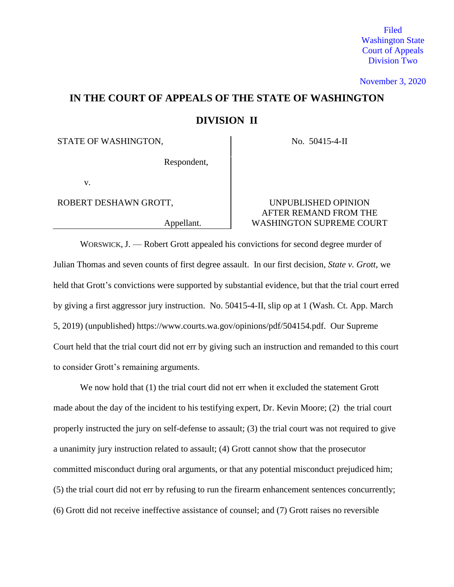Filed Washington State Court of Appeals Division Two

November 3, 2020

# **IN THE COURT OF APPEALS OF THE STATE OF WASHINGTON DIVISION II**

STATE OF WASHINGTON, No. 50415-4-II

Respondent,

v.

# ROBERT DESHAWN GROTT, SUNPUBLISHED OPINION AFTER REMAND FROM THE Appellant. WASHINGTON SUPREME COURT

WORSWICK, J. — Robert Grott appealed his convictions for second degree murder of Julian Thomas and seven counts of first degree assault. In our first decision, *State v. Grott*, we held that Grott's convictions were supported by substantial evidence, but that the trial court erred by giving a first aggressor jury instruction. No. 50415-4-II, slip op at 1 (Wash. Ct. App. March 5, 2019) (unpublished) https://www.courts.wa.gov/opinions/pdf/504154.pdf. Our Supreme Court held that the trial court did not err by giving such an instruction and remanded to this court to consider Grott's remaining arguments.

We now hold that (1) the trial court did not err when it excluded the statement Grott made about the day of the incident to his testifying expert, Dr. Kevin Moore; (2) the trial court properly instructed the jury on self-defense to assault; (3) the trial court was not required to give a unanimity jury instruction related to assault; (4) Grott cannot show that the prosecutor committed misconduct during oral arguments, or that any potential misconduct prejudiced him; (5) the trial court did not err by refusing to run the firearm enhancement sentences concurrently; (6) Grott did not receive ineffective assistance of counsel; and (7) Grott raises no reversible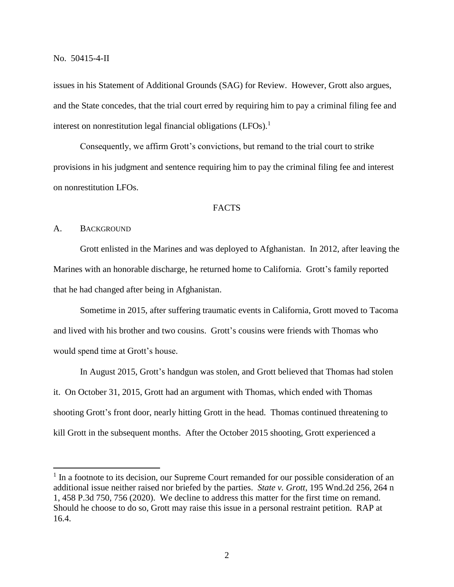issues in his Statement of Additional Grounds (SAG) for Review. However, Grott also argues, and the State concedes, that the trial court erred by requiring him to pay a criminal filing fee and interest on nonrestitution legal financial obligations (LFOs). 1

Consequently, we affirm Grott's convictions, but remand to the trial court to strike provisions in his judgment and sentence requiring him to pay the criminal filing fee and interest on nonrestitution LFOs.

#### **FACTS**

# A. BACKGROUND

 $\overline{a}$ 

Grott enlisted in the Marines and was deployed to Afghanistan. In 2012, after leaving the Marines with an honorable discharge, he returned home to California. Grott's family reported that he had changed after being in Afghanistan.

Sometime in 2015, after suffering traumatic events in California, Grott moved to Tacoma and lived with his brother and two cousins. Grott's cousins were friends with Thomas who would spend time at Grott's house.

In August 2015, Grott's handgun was stolen, and Grott believed that Thomas had stolen it. On October 31, 2015, Grott had an argument with Thomas, which ended with Thomas shooting Grott's front door, nearly hitting Grott in the head. Thomas continued threatening to kill Grott in the subsequent months. After the October 2015 shooting, Grott experienced a

<sup>&</sup>lt;sup>1</sup> In a footnote to its decision, our Supreme Court remanded for our possible consideration of an additional issue neither raised nor briefed by the parties. *State v. Grott*, 195 Wnd.2d 256, 264 n 1, 458 P.3d 750, 756 (2020). We decline to address this matter for the first time on remand. Should he choose to do so, Grott may raise this issue in a personal restraint petition. RAP at 16.4.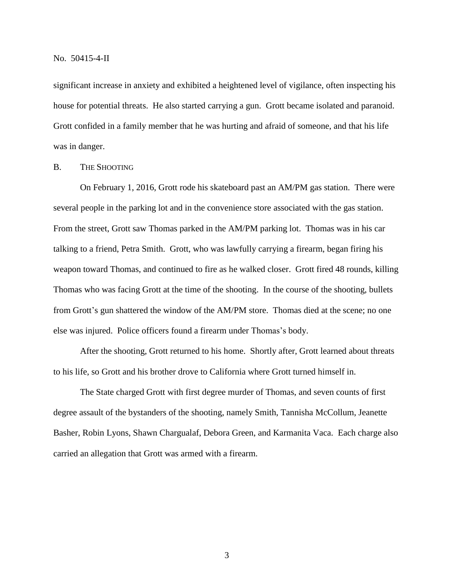significant increase in anxiety and exhibited a heightened level of vigilance, often inspecting his house for potential threats. He also started carrying a gun. Grott became isolated and paranoid. Grott confided in a family member that he was hurting and afraid of someone, and that his life was in danger.

## B. THE SHOOTING

On February 1, 2016, Grott rode his skateboard past an AM/PM gas station. There were several people in the parking lot and in the convenience store associated with the gas station. From the street, Grott saw Thomas parked in the AM/PM parking lot. Thomas was in his car talking to a friend, Petra Smith. Grott, who was lawfully carrying a firearm, began firing his weapon toward Thomas, and continued to fire as he walked closer. Grott fired 48 rounds, killing Thomas who was facing Grott at the time of the shooting. In the course of the shooting, bullets from Grott's gun shattered the window of the AM/PM store. Thomas died at the scene; no one else was injured. Police officers found a firearm under Thomas's body.

After the shooting, Grott returned to his home. Shortly after, Grott learned about threats to his life, so Grott and his brother drove to California where Grott turned himself in.

The State charged Grott with first degree murder of Thomas, and seven counts of first degree assault of the bystanders of the shooting, namely Smith, Tannisha McCollum, Jeanette Basher, Robin Lyons, Shawn Chargualaf, Debora Green, and Karmanita Vaca. Each charge also carried an allegation that Grott was armed with a firearm.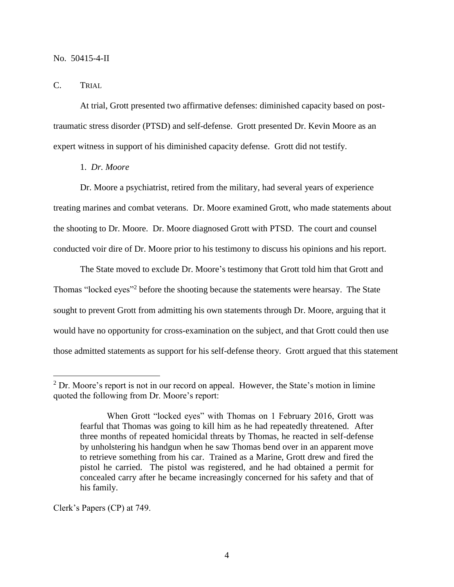#### C. TRIAL

At trial, Grott presented two affirmative defenses: diminished capacity based on posttraumatic stress disorder (PTSD) and self-defense. Grott presented Dr. Kevin Moore as an expert witness in support of his diminished capacity defense. Grott did not testify.

#### 1. *Dr. Moore*

Dr. Moore a psychiatrist, retired from the military, had several years of experience treating marines and combat veterans. Dr. Moore examined Grott, who made statements about the shooting to Dr. Moore. Dr. Moore diagnosed Grott with PTSD. The court and counsel conducted voir dire of Dr. Moore prior to his testimony to discuss his opinions and his report.

The State moved to exclude Dr. Moore's testimony that Grott told him that Grott and Thomas "locked eyes"<sup>2</sup> before the shooting because the statements were hearsay. The State sought to prevent Grott from admitting his own statements through Dr. Moore, arguing that it would have no opportunity for cross-examination on the subject, and that Grott could then use those admitted statements as support for his self-defense theory. Grott argued that this statement

Clerk's Papers (CP) at 749.

 $\overline{a}$ 

 $2^2$  Dr. Moore's report is not in our record on appeal. However, the State's motion in limine quoted the following from Dr. Moore's report:

When Grott "locked eyes" with Thomas on 1 February 2016, Grott was fearful that Thomas was going to kill him as he had repeatedly threatened. After three months of repeated homicidal threats by Thomas, he reacted in self-defense by unholstering his handgun when he saw Thomas bend over in an apparent move to retrieve something from his car. Trained as a Marine, Grott drew and fired the pistol he carried. The pistol was registered, and he had obtained a permit for concealed carry after he became increasingly concerned for his safety and that of his family.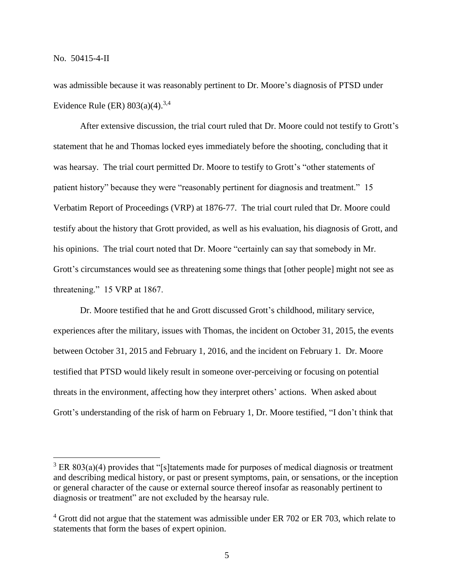$\overline{a}$ 

was admissible because it was reasonably pertinent to Dr. Moore's diagnosis of PTSD under Evidence Rule (ER)  $803(a)(4)$ .<sup>3,4</sup>

After extensive discussion, the trial court ruled that Dr. Moore could not testify to Grott's statement that he and Thomas locked eyes immediately before the shooting, concluding that it was hearsay. The trial court permitted Dr. Moore to testify to Grott's "other statements of patient history" because they were "reasonably pertinent for diagnosis and treatment." 15 Verbatim Report of Proceedings (VRP) at 1876-77. The trial court ruled that Dr. Moore could testify about the history that Grott provided, as well as his evaluation, his diagnosis of Grott, and his opinions. The trial court noted that Dr. Moore "certainly can say that somebody in Mr. Grott's circumstances would see as threatening some things that [other people] might not see as threatening." 15 VRP at 1867.

Dr. Moore testified that he and Grott discussed Grott's childhood, military service, experiences after the military, issues with Thomas, the incident on October 31, 2015, the events between October 31, 2015 and February 1, 2016, and the incident on February 1. Dr. Moore testified that PTSD would likely result in someone over-perceiving or focusing on potential threats in the environment, affecting how they interpret others' actions. When asked about Grott's understanding of the risk of harm on February 1, Dr. Moore testified, "I don't think that

 $3$  ER 803(a)(4) provides that "[s]tatements made for purposes of medical diagnosis or treatment and describing medical history, or past or present symptoms, pain, or sensations, or the inception or general character of the cause or external source thereof insofar as reasonably pertinent to diagnosis or treatment" are not excluded by the hearsay rule.

 $4$  Grott did not argue that the statement was admissible under ER 702 or ER 703, which relate to statements that form the bases of expert opinion.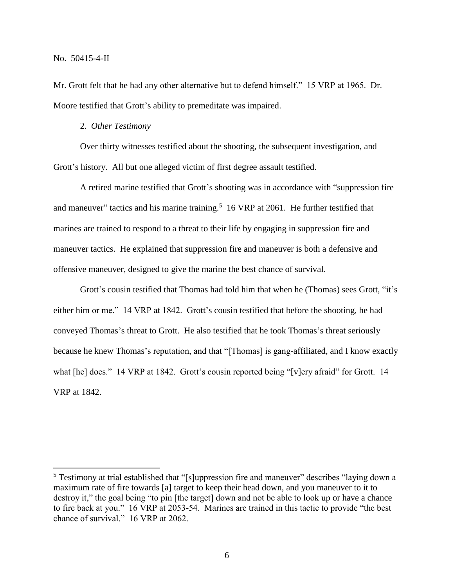$\overline{a}$ 

Mr. Grott felt that he had any other alternative but to defend himself." 15 VRP at 1965. Dr. Moore testified that Grott's ability to premeditate was impaired.

2. *Other Testimony*

Over thirty witnesses testified about the shooting, the subsequent investigation, and Grott's history. All but one alleged victim of first degree assault testified.

A retired marine testified that Grott's shooting was in accordance with "suppression fire and maneuver" tactics and his marine training.<sup>5</sup> 16 VRP at 2061. He further testified that marines are trained to respond to a threat to their life by engaging in suppression fire and maneuver tactics. He explained that suppression fire and maneuver is both a defensive and offensive maneuver, designed to give the marine the best chance of survival.

Grott's cousin testified that Thomas had told him that when he (Thomas) sees Grott, "it's either him or me." 14 VRP at 1842. Grott's cousin testified that before the shooting, he had conveyed Thomas's threat to Grott. He also testified that he took Thomas's threat seriously because he knew Thomas's reputation, and that "[Thomas] is gang-affiliated, and I know exactly what [he] does." 14 VRP at 1842. Grott's cousin reported being "[v]ery afraid" for Grott. 14 VRP at 1842.

<sup>&</sup>lt;sup>5</sup> Testimony at trial established that "[s]uppression fire and maneuver" describes "laying down a maximum rate of fire towards [a] target to keep their head down, and you maneuver to it to destroy it," the goal being "to pin [the target] down and not be able to look up or have a chance to fire back at you." 16 VRP at 2053-54. Marines are trained in this tactic to provide "the best chance of survival." 16 VRP at 2062.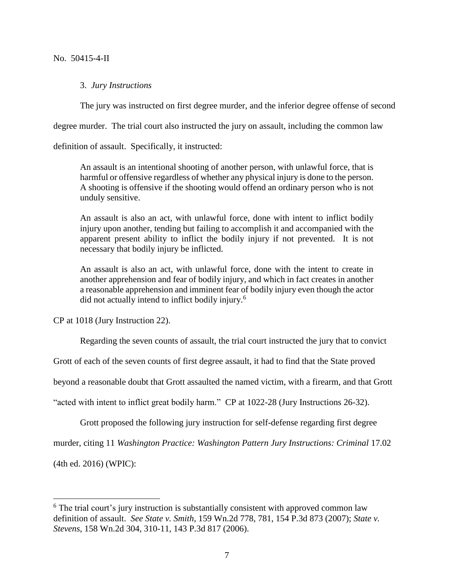#### 3. *Jury Instructions*

The jury was instructed on first degree murder, and the inferior degree offense of second

degree murder. The trial court also instructed the jury on assault, including the common law

definition of assault. Specifically, it instructed:

An assault is an intentional shooting of another person, with unlawful force, that is harmful or offensive regardless of whether any physical injury is done to the person. A shooting is offensive if the shooting would offend an ordinary person who is not unduly sensitive.

An assault is also an act, with unlawful force, done with intent to inflict bodily injury upon another, tending but failing to accomplish it and accompanied with the apparent present ability to inflict the bodily injury if not prevented. It is not necessary that bodily injury be inflicted.

An assault is also an act, with unlawful force, done with the intent to create in another apprehension and fear of bodily injury, and which in fact creates in another a reasonable apprehension and imminent fear of bodily injury even though the actor did not actually intend to inflict bodily injury.<sup>6</sup>

CP at 1018 (Jury Instruction 22).

Regarding the seven counts of assault, the trial court instructed the jury that to convict

Grott of each of the seven counts of first degree assault, it had to find that the State proved

beyond a reasonable doubt that Grott assaulted the named victim, with a firearm, and that Grott

"acted with intent to inflict great bodily harm." CP at 1022-28 (Jury Instructions 26-32).

Grott proposed the following jury instruction for self-defense regarding first degree

murder, citing 11 *Washington Practice: Washington Pattern Jury Instructions: Criminal* 17.02

(4th ed. 2016) (WPIC):

 $\overline{a}$ 

<sup>&</sup>lt;sup>6</sup> The trial court's jury instruction is substantially consistent with approved common law definition of assault. *See State v. Smith*, 159 Wn.2d 778, 781, 154 P.3d 873 (2007); *State v. Stevens*, 158 Wn.2d 304, 310-11, 143 P.3d 817 (2006).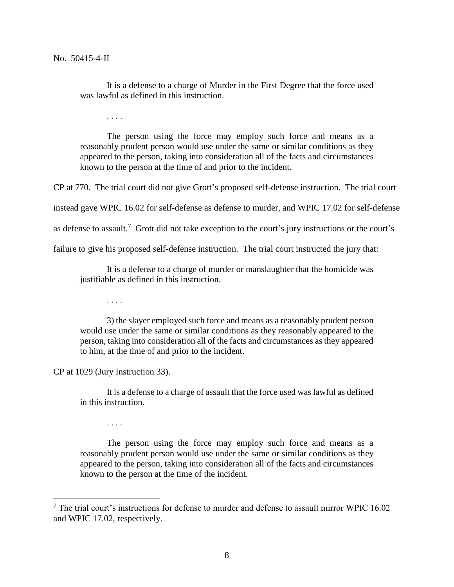It is a defense to a charge of Murder in the First Degree that the force used was lawful as defined in this instruction.

. . . .

The person using the force may employ such force and means as a reasonably prudent person would use under the same or similar conditions as they appeared to the person, taking into consideration all of the facts and circumstances known to the person at the time of and prior to the incident.

CP at 770. The trial court did not give Grott's proposed self-defense instruction. The trial court

instead gave WPIC 16.02 for self-defense as defense to murder, and WPIC 17.02 for self-defense

as defense to assault.<sup>7</sup> Grott did not take exception to the court's jury instructions or the court's

failure to give his proposed self-defense instruction. The trial court instructed the jury that:

It is a defense to a charge of murder or manslaughter that the homicide was justifiable as defined in this instruction.

. . . .

3) the slayer employed such force and means as a reasonably prudent person would use under the same or similar conditions as they reasonably appeared to the person, taking into consideration all of the facts and circumstances as they appeared to him, at the time of and prior to the incident.

CP at 1029 (Jury Instruction 33).

It is a defense to a charge of assault that the force used was lawful as defined in this instruction.

. . . .

 $\overline{a}$ 

The person using the force may employ such force and means as a reasonably prudent person would use under the same or similar conditions as they appeared to the person, taking into consideration all of the facts and circumstances known to the person at the time of the incident.

 $<sup>7</sup>$  The trial court's instructions for defense to murder and defense to assault mirror WPIC 16.02</sup> and WPIC 17.02, respectively.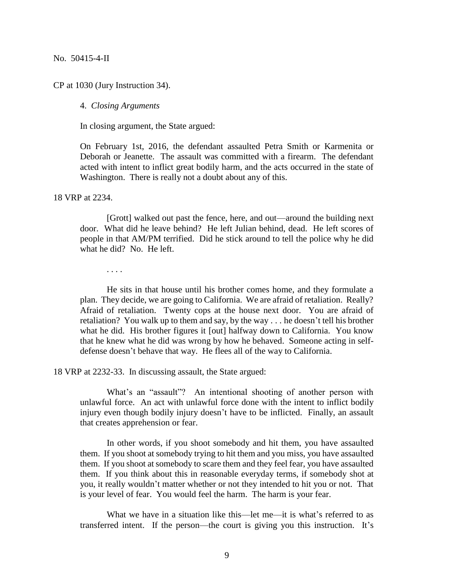CP at 1030 (Jury Instruction 34).

4. *Closing Arguments*

In closing argument, the State argued:

On February 1st, 2016, the defendant assaulted Petra Smith or Karmenita or Deborah or Jeanette. The assault was committed with a firearm. The defendant acted with intent to inflict great bodily harm, and the acts occurred in the state of Washington. There is really not a doubt about any of this.

18 VRP at 2234.

[Grott] walked out past the fence, here, and out—around the building next door. What did he leave behind? He left Julian behind, dead. He left scores of people in that AM/PM terrified. Did he stick around to tell the police why he did what he did? No. He left.

. . . .

He sits in that house until his brother comes home, and they formulate a plan. They decide, we are going to California. We are afraid of retaliation. Really? Afraid of retaliation. Twenty cops at the house next door. You are afraid of retaliation? You walk up to them and say, by the way . . . he doesn't tell his brother what he did. His brother figures it [out] halfway down to California. You know that he knew what he did was wrong by how he behaved. Someone acting in selfdefense doesn't behave that way. He flees all of the way to California.

18 VRP at 2232-33. In discussing assault, the State argued:

What's an "assault"? An intentional shooting of another person with unlawful force. An act with unlawful force done with the intent to inflict bodily injury even though bodily injury doesn't have to be inflicted. Finally, an assault that creates apprehension or fear.

In other words, if you shoot somebody and hit them, you have assaulted them. If you shoot at somebody trying to hit them and you miss, you have assaulted them. If you shoot at somebody to scare them and they feel fear, you have assaulted them. If you think about this in reasonable everyday terms, if somebody shot at you, it really wouldn't matter whether or not they intended to hit you or not. That is your level of fear. You would feel the harm. The harm is your fear.

What we have in a situation like this—let me—it is what's referred to as transferred intent. If the person—the court is giving you this instruction. It's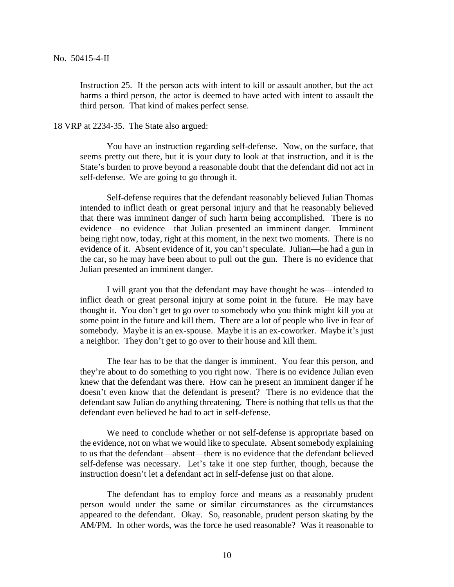Instruction 25. If the person acts with intent to kill or assault another, but the act harms a third person, the actor is deemed to have acted with intent to assault the third person. That kind of makes perfect sense.

#### 18 VRP at 2234-35. The State also argued:

You have an instruction regarding self-defense. Now, on the surface, that seems pretty out there, but it is your duty to look at that instruction, and it is the State's burden to prove beyond a reasonable doubt that the defendant did not act in self-defense. We are going to go through it.

Self-defense requires that the defendant reasonably believed Julian Thomas intended to inflict death or great personal injury and that he reasonably believed that there was imminent danger of such harm being accomplished. There is no evidence—no evidence—that Julian presented an imminent danger. Imminent being right now, today, right at this moment, in the next two moments. There is no evidence of it. Absent evidence of it, you can't speculate. Julian—he had a gun in the car, so he may have been about to pull out the gun. There is no evidence that Julian presented an imminent danger.

I will grant you that the defendant may have thought he was—intended to inflict death or great personal injury at some point in the future. He may have thought it. You don't get to go over to somebody who you think might kill you at some point in the future and kill them. There are a lot of people who live in fear of somebody. Maybe it is an ex-spouse. Maybe it is an ex-coworker. Maybe it's just a neighbor. They don't get to go over to their house and kill them.

The fear has to be that the danger is imminent. You fear this person, and they're about to do something to you right now. There is no evidence Julian even knew that the defendant was there. How can he present an imminent danger if he doesn't even know that the defendant is present? There is no evidence that the defendant saw Julian do anything threatening. There is nothing that tells us that the defendant even believed he had to act in self-defense.

We need to conclude whether or not self-defense is appropriate based on the evidence, not on what we would like to speculate. Absent somebody explaining to us that the defendant—absent—there is no evidence that the defendant believed self-defense was necessary. Let's take it one step further, though, because the instruction doesn't let a defendant act in self-defense just on that alone.

The defendant has to employ force and means as a reasonably prudent person would under the same or similar circumstances as the circumstances appeared to the defendant. Okay. So, reasonable, prudent person skating by the AM/PM. In other words, was the force he used reasonable? Was it reasonable to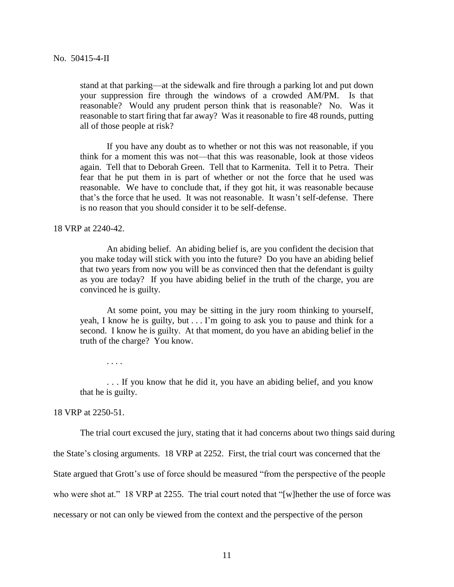stand at that parking—at the sidewalk and fire through a parking lot and put down your suppression fire through the windows of a crowded AM/PM. Is that reasonable? Would any prudent person think that is reasonable? No. Was it reasonable to start firing that far away? Was it reasonable to fire 48 rounds, putting all of those people at risk?

If you have any doubt as to whether or not this was not reasonable, if you think for a moment this was not—that this was reasonable, look at those videos again. Tell that to Deborah Green. Tell that to Karmenita. Tell it to Petra. Their fear that he put them in is part of whether or not the force that he used was reasonable. We have to conclude that, if they got hit, it was reasonable because that's the force that he used. It was not reasonable. It wasn't self-defense. There is no reason that you should consider it to be self-defense.

18 VRP at 2240-42.

An abiding belief. An abiding belief is, are you confident the decision that you make today will stick with you into the future? Do you have an abiding belief that two years from now you will be as convinced then that the defendant is guilty as you are today? If you have abiding belief in the truth of the charge, you are convinced he is guilty.

At some point, you may be sitting in the jury room thinking to yourself, yeah, I know he is guilty, but  $\dots$  I'm going to ask you to pause and think for a second. I know he is guilty. At that moment, do you have an abiding belief in the truth of the charge? You know.

. . . .

. . . If you know that he did it, you have an abiding belief, and you know that he is guilty.

18 VRP at 2250-51.

The trial court excused the jury, stating that it had concerns about two things said during

the State's closing arguments. 18 VRP at 2252. First, the trial court was concerned that the

State argued that Grott's use of force should be measured "from the perspective of the people

who were shot at." 18 VRP at 2255. The trial court noted that "[w]hether the use of force was

necessary or not can only be viewed from the context and the perspective of the person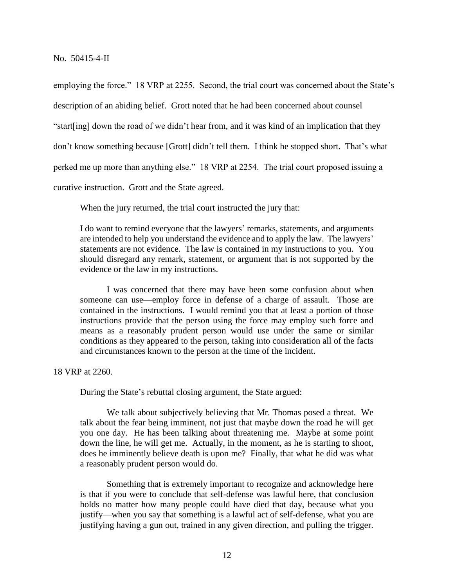employing the force." 18 VRP at 2255. Second, the trial court was concerned about the State's description of an abiding belief. Grott noted that he had been concerned about counsel "start[ing] down the road of we didn't hear from, and it was kind of an implication that they don't know something because [Grott] didn't tell them. I think he stopped short. That's what perked me up more than anything else." 18 VRP at 2254. The trial court proposed issuing a curative instruction. Grott and the State agreed.

When the jury returned, the trial court instructed the jury that:

I do want to remind everyone that the lawyers' remarks, statements, and arguments are intended to help you understand the evidence and to apply the law. The lawyers' statements are not evidence. The law is contained in my instructions to you. You should disregard any remark, statement, or argument that is not supported by the evidence or the law in my instructions.

I was concerned that there may have been some confusion about when someone can use—employ force in defense of a charge of assault. Those are contained in the instructions. I would remind you that at least a portion of those instructions provide that the person using the force may employ such force and means as a reasonably prudent person would use under the same or similar conditions as they appeared to the person, taking into consideration all of the facts and circumstances known to the person at the time of the incident.

18 VRP at 2260.

During the State's rebuttal closing argument, the State argued:

We talk about subjectively believing that Mr. Thomas posed a threat. We talk about the fear being imminent, not just that maybe down the road he will get you one day. He has been talking about threatening me. Maybe at some point down the line, he will get me. Actually, in the moment, as he is starting to shoot, does he imminently believe death is upon me? Finally, that what he did was what a reasonably prudent person would do.

Something that is extremely important to recognize and acknowledge here is that if you were to conclude that self-defense was lawful here, that conclusion holds no matter how many people could have died that day, because what you justify—when you say that something is a lawful act of self-defense, what you are justifying having a gun out, trained in any given direction, and pulling the trigger.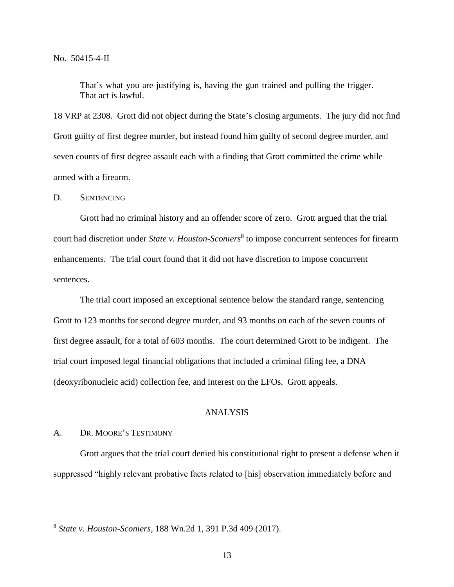That's what you are justifying is, having the gun trained and pulling the trigger. That act is lawful.

18 VRP at 2308. Grott did not object during the State's closing arguments. The jury did not find Grott guilty of first degree murder, but instead found him guilty of second degree murder, and seven counts of first degree assault each with a finding that Grott committed the crime while armed with a firearm.

D. SENTENCING

Grott had no criminal history and an offender score of zero. Grott argued that the trial court had discretion under *State v. Houston-Sconiers*<sup>8</sup> to impose concurrent sentences for firearm enhancements. The trial court found that it did not have discretion to impose concurrent sentences.

The trial court imposed an exceptional sentence below the standard range, sentencing Grott to 123 months for second degree murder, and 93 months on each of the seven counts of first degree assault, for a total of 603 months. The court determined Grott to be indigent. The trial court imposed legal financial obligations that included a criminal filing fee, a DNA (deoxyribonucleic acid) collection fee, and interest on the LFOs. Grott appeals.

# ANALYSIS

#### A. DR. MOORE'S TESTIMONY

 $\overline{a}$ 

Grott argues that the trial court denied his constitutional right to present a defense when it suppressed "highly relevant probative facts related to [his] observation immediately before and

<sup>8</sup> *State v. Houston-Sconiers*, 188 Wn.2d 1, 391 P.3d 409 (2017).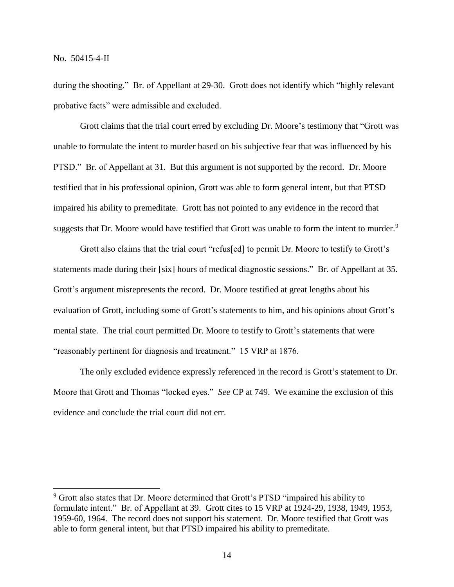$\overline{a}$ 

during the shooting." Br. of Appellant at 29-30. Grott does not identify which "highly relevant probative facts" were admissible and excluded.

Grott claims that the trial court erred by excluding Dr. Moore's testimony that "Grott was unable to formulate the intent to murder based on his subjective fear that was influenced by his PTSD." Br. of Appellant at 31. But this argument is not supported by the record. Dr. Moore testified that in his professional opinion, Grott was able to form general intent, but that PTSD impaired his ability to premeditate. Grott has not pointed to any evidence in the record that suggests that Dr. Moore would have testified that Grott was unable to form the intent to murder.<sup>9</sup>

Grott also claims that the trial court "refus[ed] to permit Dr. Moore to testify to Grott's statements made during their [six] hours of medical diagnostic sessions." Br. of Appellant at 35. Grott's argument misrepresents the record. Dr. Moore testified at great lengths about his evaluation of Grott, including some of Grott's statements to him, and his opinions about Grott's mental state. The trial court permitted Dr. Moore to testify to Grott's statements that were "reasonably pertinent for diagnosis and treatment." 15 VRP at 1876.

The only excluded evidence expressly referenced in the record is Grott's statement to Dr. Moore that Grott and Thomas "locked eyes." *See* CP at 749. We examine the exclusion of this evidence and conclude the trial court did not err.

<sup>&</sup>lt;sup>9</sup> Grott also states that Dr. Moore determined that Grott's PTSD "impaired his ability to formulate intent." Br. of Appellant at 39. Grott cites to 15 VRP at 1924-29, 1938, 1949, 1953, 1959-60, 1964. The record does not support his statement. Dr. Moore testified that Grott was able to form general intent, but that PTSD impaired his ability to premeditate.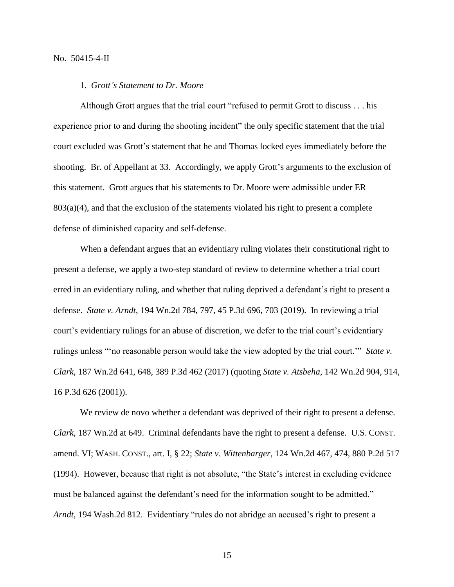# 1. *Grott's Statement to Dr. Moore*

Although Grott argues that the trial court "refused to permit Grott to discuss . . . his experience prior to and during the shooting incident" the only specific statement that the trial court excluded was Grott's statement that he and Thomas locked eyes immediately before the shooting. Br. of Appellant at 33. Accordingly, we apply Grott's arguments to the exclusion of this statement. Grott argues that his statements to Dr. Moore were admissible under ER  $803(a)(4)$ , and that the exclusion of the statements violated his right to present a complete defense of diminished capacity and self-defense.

When a defendant argues that an evidentiary ruling violates their constitutional right to present a defense, we apply a two-step standard of review to determine whether a trial court erred in an evidentiary ruling, and whether that ruling deprived a defendant's right to present a defense. *State v. Arndt*, 194 Wn.2d 784, 797, 45 P.3d 696, 703 (2019). In reviewing a trial court's evidentiary rulings for an abuse of discretion, we defer to the trial court's evidentiary rulings unless "'no reasonable person would take the view adopted by the trial court.'" *State v. Clark*, 187 Wn.2d 641, 648, 389 P.3d 462 (2017) (quoting *State v. Atsbeha*, 142 Wn.2d 904, 914, 16 P.3d 626 (2001)).

We review de novo whether a defendant was deprived of their right to present a defense. *Clark*, 187 Wn.2d at 649. Criminal defendants have the right to present a defense. U.S. CONST. amend. VI; WASH. CONST., art. I, § 22; *State v. Wittenbarger*, 124 Wn.2d 467, 474, 880 P.2d 517 (1994). However, because that right is not absolute, "the State's interest in excluding evidence must be balanced against the defendant's need for the information sought to be admitted." *Arndt*, 194 Wash.2d 812. Evidentiary "rules do not abridge an accused's right to present a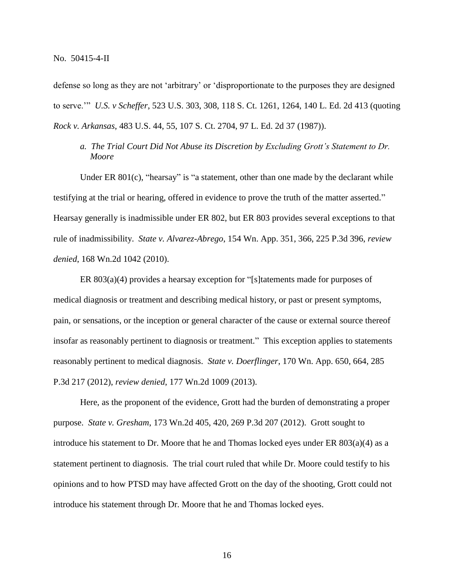defense so long as they are not 'arbitrary' or 'disproportionate to the purposes they are designed to serve.'" *U.S. v Scheffer*, 523 U.S. 303, 308, 118 S. Ct. 1261, 1264, 140 L. Ed. 2d 413 (quoting *Rock v. Arkansas*, 483 U.S. 44, 55, 107 S. Ct. 2704, 97 L. Ed. 2d 37 (1987)).

*a. The Trial Court Did Not Abuse its Discretion by Excluding Grott's Statement to Dr. Moore*

Under ER  $801(c)$ , "hearsay" is "a statement, other than one made by the declarant while testifying at the trial or hearing, offered in evidence to prove the truth of the matter asserted." Hearsay generally is inadmissible under ER 802, but ER 803 provides several exceptions to that rule of inadmissibility. *State v. Alvarez-Abrego*, 154 Wn. App. 351, 366, 225 P.3d 396, *review denied*, 168 Wn.2d 1042 (2010).

ER 803(a)(4) provides a hearsay exception for "[s]tatements made for purposes of medical diagnosis or treatment and describing medical history, or past or present symptoms, pain, or sensations, or the inception or general character of the cause or external source thereof insofar as reasonably pertinent to diagnosis or treatment." This exception applies to statements reasonably pertinent to medical diagnosis. *State v. Doerflinger*, 170 Wn. App. 650, 664, 285 P.3d 217 (2012), *review denied*, 177 Wn.2d 1009 (2013).

Here, as the proponent of the evidence, Grott had the burden of demonstrating a proper purpose. *State v. Gresham*, 173 Wn.2d 405, 420, 269 P.3d 207 (2012). Grott sought to introduce his statement to Dr. Moore that he and Thomas locked eyes under ER  $803(a)(4)$  as a statement pertinent to diagnosis. The trial court ruled that while Dr. Moore could testify to his opinions and to how PTSD may have affected Grott on the day of the shooting, Grott could not introduce his statement through Dr. Moore that he and Thomas locked eyes.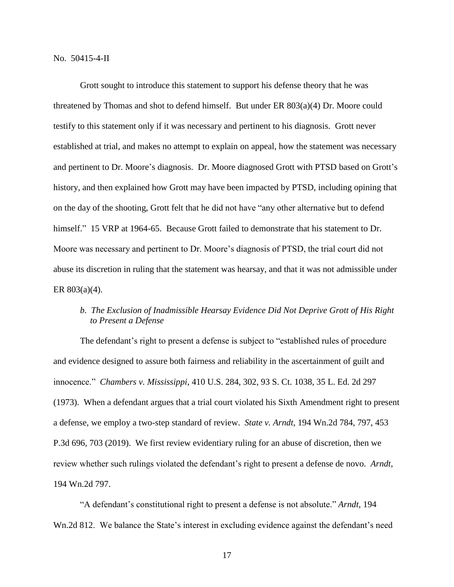Grott sought to introduce this statement to support his defense theory that he was threatened by Thomas and shot to defend himself. But under ER 803(a)(4) Dr. Moore could testify to this statement only if it was necessary and pertinent to his diagnosis. Grott never established at trial, and makes no attempt to explain on appeal, how the statement was necessary and pertinent to Dr. Moore's diagnosis. Dr. Moore diagnosed Grott with PTSD based on Grott's history, and then explained how Grott may have been impacted by PTSD, including opining that on the day of the shooting, Grott felt that he did not have "any other alternative but to defend himself." 15 VRP at 1964-65. Because Grott failed to demonstrate that his statement to Dr. Moore was necessary and pertinent to Dr. Moore's diagnosis of PTSD, the trial court did not abuse its discretion in ruling that the statement was hearsay, and that it was not admissible under ER 803(a)(4).

# *b*. *The Exclusion of Inadmissible Hearsay Evidence Did Not Deprive Grott of His Right to Present a Defense*

The defendant's right to present a defense is subject to "established rules of procedure and evidence designed to assure both fairness and reliability in the ascertainment of guilt and innocence." *Chambers v. Mississippi*, 410 U.S. 284, 302, 93 S. Ct. 1038, 35 L. Ed. 2d 297 (1973). When a defendant argues that a trial court violated his Sixth Amendment right to present a defense, we employ a two-step standard of review. *State v. Arndt*, 194 Wn.2d 784, 797, 453 P.3d 696, 703 (2019). We first review evidentiary ruling for an abuse of discretion, then we review whether such rulings violated the defendant's right to present a defense de novo. *Arndt*, 194 Wn.2d 797.

"A defendant's constitutional right to present a defense is not absolute." *Arndt*, 194 Wn.2d 812. We balance the State's interest in excluding evidence against the defendant's need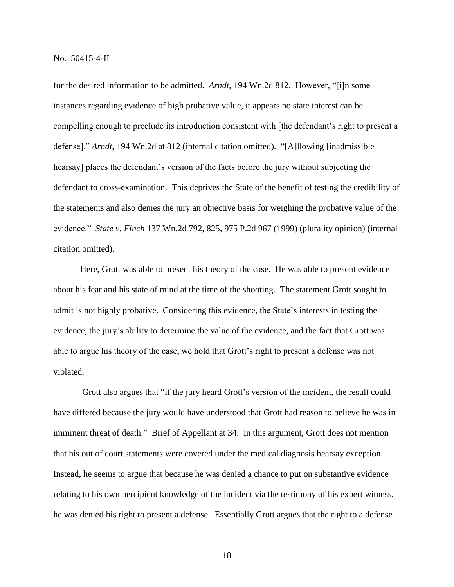for the desired information to be admitted. *Arndt*, 194 Wn.2d 812. However, "[i]n some instances regarding evidence of high probative value, it appears no state interest can be compelling enough to preclude its introduction consistent with [the defendant's right to present a defense]." *Arndt*, 194 Wn.2d at 812 (internal citation omitted). "[A]llowing [inadmissible hearsay] places the defendant's version of the facts before the jury without subjecting the defendant to cross-examination. This deprives the State of the benefit of testing the credibility of the statements and also denies the jury an objective basis for weighing the probative value of the evidence." *State v. Finch* 137 Wn.2d 792, 825, 975 P.2d 967 (1999) (plurality opinion) (internal citation omitted).

Here, Grott was able to present his theory of the case. He was able to present evidence about his fear and his state of mind at the time of the shooting. The statement Grott sought to admit is not highly probative. Considering this evidence, the State's interests in testing the evidence, the jury's ability to determine the value of the evidence, and the fact that Grott was able to argue his theory of the case, we hold that Grott's right to present a defense was not violated.

Grott also argues that "if the jury heard Grott's version of the incident, the result could have differed because the jury would have understood that Grott had reason to believe he was in imminent threat of death." Brief of Appellant at 34. In this argument, Grott does not mention that his out of court statements were covered under the medical diagnosis hearsay exception. Instead, he seems to argue that because he was denied a chance to put on substantive evidence relating to his own percipient knowledge of the incident via the testimony of his expert witness, he was denied his right to present a defense. Essentially Grott argues that the right to a defense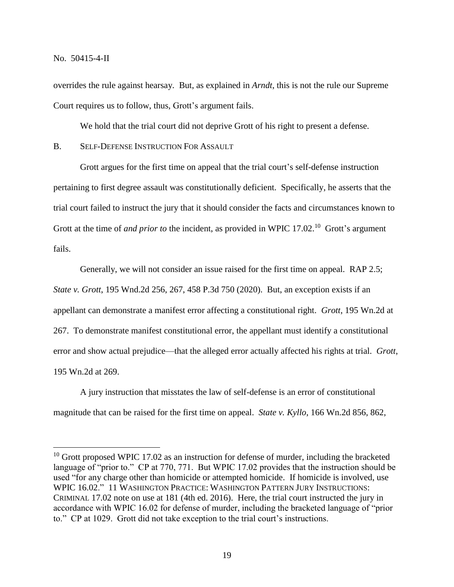$\overline{a}$ 

overrides the rule against hearsay. But, as explained in *Arndt*, this is not the rule our Supreme Court requires us to follow, thus, Grott's argument fails.

We hold that the trial court did not deprive Grott of his right to present a defense.

B. SELF-DEFENSE INSTRUCTION FOR ASSAULT

Grott argues for the first time on appeal that the trial court's self-defense instruction pertaining to first degree assault was constitutionally deficient. Specifically, he asserts that the trial court failed to instruct the jury that it should consider the facts and circumstances known to Grott at the time of *and prior to* the incident, as provided in WPIC 17.02.<sup>10</sup> Grott's argument fails.

Generally, we will not consider an issue raised for the first time on appeal. RAP 2.5; *State v. Grott*, 195 Wnd.2d 256, 267, 458 P.3d 750 (2020). But, an exception exists if an appellant can demonstrate a manifest error affecting a constitutional right. *Grott*, 195 Wn.2d at 267. To demonstrate manifest constitutional error, the appellant must identify a constitutional error and show actual prejudice—that the alleged error actually affected his rights at trial. *Grott*, 195 Wn.2d at 269.

A jury instruction that misstates the law of self-defense is an error of constitutional magnitude that can be raised for the first time on appeal. *State v. Kyllo*, 166 Wn.2d 856, 862,

 $10$  Grott proposed WPIC 17.02 as an instruction for defense of murder, including the bracketed language of "prior to." CP at 770, 771. But WPIC 17.02 provides that the instruction should be used "for any charge other than homicide or attempted homicide. If homicide is involved, use WPIC 16.02." 11 WASHINGTON PRACTICE: WASHINGTON PATTERN JURY INSTRUCTIONS: CRIMINAL 17.02 note on use at 181 (4th ed. 2016). Here, the trial court instructed the jury in accordance with WPIC 16.02 for defense of murder, including the bracketed language of "prior to." CP at 1029. Grott did not take exception to the trial court's instructions.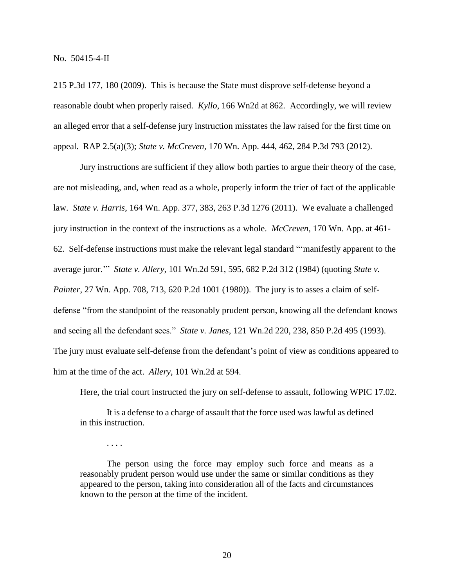. . . .

215 P.3d 177, 180 (2009). This is because the State must disprove self-defense beyond a reasonable doubt when properly raised. *Kyllo*, 166 Wn2d at 862. Accordingly, we will review an alleged error that a self-defense jury instruction misstates the law raised for the first time on appeal. RAP 2.5(a)(3); *State v. McCreven*, 170 Wn. App. 444, 462, 284 P.3d 793 (2012).

Jury instructions are sufficient if they allow both parties to argue their theory of the case, are not misleading, and, when read as a whole, properly inform the trier of fact of the applicable law. *State v. Harris*, 164 Wn. App. 377, 383, 263 P.3d 1276 (2011). We evaluate a challenged jury instruction in the context of the instructions as a whole. *McCreven*, 170 Wn. App. at 461- 62. Self-defense instructions must make the relevant legal standard "'manifestly apparent to the average juror.'" *State v. Allery*, 101 Wn.2d 591, 595, 682 P.2d 312 (1984) (quoting *State v. Painter*, 27 Wn. App. 708, 713, 620 P.2d 1001 (1980)). The jury is to asses a claim of selfdefense "from the standpoint of the reasonably prudent person, knowing all the defendant knows and seeing all the defendant sees." *State v. Janes*, 121 Wn.2d 220, 238, 850 P.2d 495 (1993). The jury must evaluate self-defense from the defendant's point of view as conditions appeared to him at the time of the act. *Allery*, 101 Wn.2d at 594.

Here, the trial court instructed the jury on self-defense to assault, following WPIC 17.02.

It is a defense to a charge of assault that the force used was lawful as defined in this instruction.

The person using the force may employ such force and means as a reasonably prudent person would use under the same or similar conditions as they appeared to the person, taking into consideration all of the facts and circumstances known to the person at the time of the incident.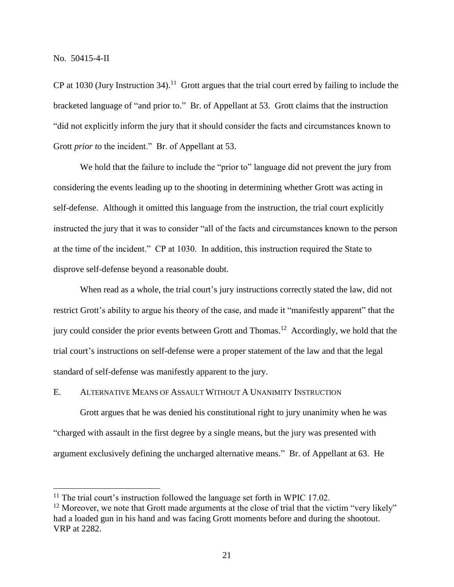$\overline{a}$ 

CP at 1030 (Jury Instruction 34).<sup>11</sup> Grott argues that the trial court erred by failing to include the bracketed language of "and prior to." Br. of Appellant at 53. Grott claims that the instruction "did not explicitly inform the jury that it should consider the facts and circumstances known to Grott *prior to* the incident." Br. of Appellant at 53.

We hold that the failure to include the "prior to" language did not prevent the jury from considering the events leading up to the shooting in determining whether Grott was acting in self-defense. Although it omitted this language from the instruction, the trial court explicitly instructed the jury that it was to consider "all of the facts and circumstances known to the person at the time of the incident." CP at 1030. In addition, this instruction required the State to disprove self-defense beyond a reasonable doubt.

When read as a whole, the trial court's jury instructions correctly stated the law, did not restrict Grott's ability to argue his theory of the case, and made it "manifestly apparent" that the jury could consider the prior events between Grott and Thomas.<sup>12</sup> Accordingly, we hold that the trial court's instructions on self-defense were a proper statement of the law and that the legal standard of self-defense was manifestly apparent to the jury.

# E. ALTERNATIVE MEANS OF ASSAULT WITHOUT A UNANIMITY INSTRUCTION

Grott argues that he was denied his constitutional right to jury unanimity when he was "charged with assault in the first degree by a single means, but the jury was presented with argument exclusively defining the uncharged alternative means." Br. of Appellant at 63. He

<sup>&</sup>lt;sup>11</sup> The trial court's instruction followed the language set forth in WPIC 17.02.

 $12$  Moreover, we note that Grott made arguments at the close of trial that the victim "very likely" had a loaded gun in his hand and was facing Grott moments before and during the shootout. VRP at 2282.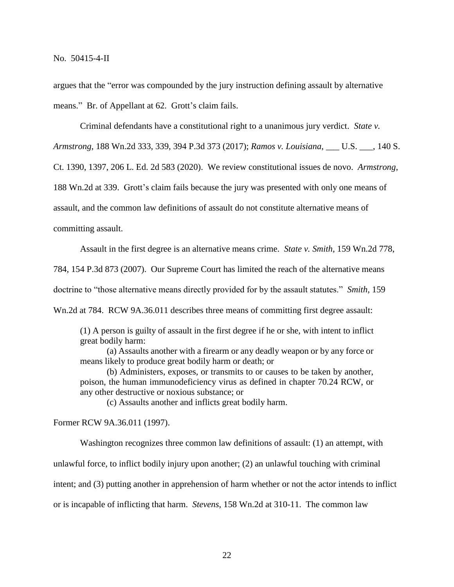argues that the "error was compounded by the jury instruction defining assault by alternative means." Br. of Appellant at 62. Grott's claim fails.

Criminal defendants have a constitutional right to a unanimous jury verdict. *State v. Armstrong*, 188 Wn.2d 333, 339, 394 P.3d 373 (2017); *Ramos v. Louisiana*, \_\_\_ U.S. \_\_\_, 140 S. Ct. 1390, 1397, 206 L. Ed. 2d 583 (2020). We review constitutional issues de novo. *Armstrong*, 188 Wn.2d at 339. Grott's claim fails because the jury was presented with only one means of assault, and the common law definitions of assault do not constitute alternative means of committing assault.

Assault in the first degree is an alternative means crime. *State v. Smith*, 159 Wn.2d 778, 784, 154 P.3d 873 (2007). Our Supreme Court has limited the reach of the alternative means doctrine to "those alternative means directly provided for by the assault statutes." *Smith*, 159 Wn.2d at 784. RCW 9A.36.011 describes three means of committing first degree assault:

(1) A person is guilty of assault in the first degree if he or she, with intent to inflict great bodily harm:

(a) Assaults another with a firearm or any deadly weapon or by any force or means likely to produce great bodily harm or death; or

(b) Administers, exposes, or transmits to or causes to be taken by another, poison, the human immunodeficiency virus as defined in chapter 70.24 RCW, or any other destructive or noxious substance; or

(c) Assaults another and inflicts great bodily harm.

Former RCW 9A.36.011 (1997).

Washington recognizes three common law definitions of assault: (1) an attempt, with unlawful force, to inflict bodily injury upon another; (2) an unlawful touching with criminal intent; and (3) putting another in apprehension of harm whether or not the actor intends to inflict or is incapable of inflicting that harm. *Stevens*, 158 Wn.2d at 310-11. The common law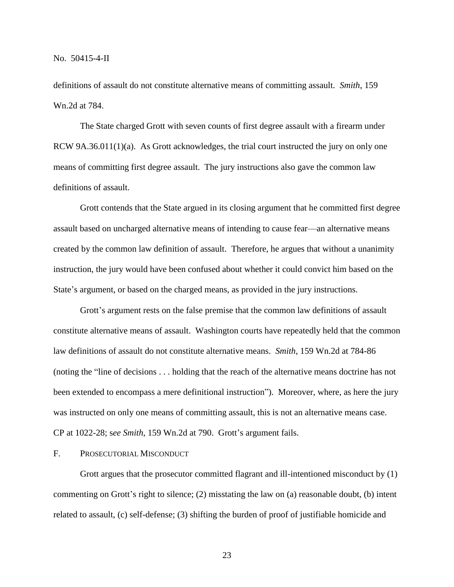definitions of assault do not constitute alternative means of committing assault. *Smith*, 159 Wn.2d at 784.

The State charged Grott with seven counts of first degree assault with a firearm under RCW 9A.36.011(1)(a). As Grott acknowledges, the trial court instructed the jury on only one means of committing first degree assault. The jury instructions also gave the common law definitions of assault.

Grott contends that the State argued in its closing argument that he committed first degree assault based on uncharged alternative means of intending to cause fear—an alternative means created by the common law definition of assault. Therefore, he argues that without a unanimity instruction, the jury would have been confused about whether it could convict him based on the State's argument, or based on the charged means, as provided in the jury instructions.

Grott's argument rests on the false premise that the common law definitions of assault constitute alternative means of assault. Washington courts have repeatedly held that the common law definitions of assault do not constitute alternative means. *Smith*, 159 Wn.2d at 784-86 (noting the "line of decisions . . . holding that the reach of the alternative means doctrine has not been extended to encompass a mere definitional instruction"). Moreover, where, as here the jury was instructed on only one means of committing assault, this is not an alternative means case. CP at 1022-28; s*ee Smith*, 159 Wn.2d at 790. Grott's argument fails.

# F. PROSECUTORIAL MISCONDUCT

Grott argues that the prosecutor committed flagrant and ill-intentioned misconduct by (1) commenting on Grott's right to silence; (2) misstating the law on (a) reasonable doubt, (b) intent related to assault, (c) self-defense; (3) shifting the burden of proof of justifiable homicide and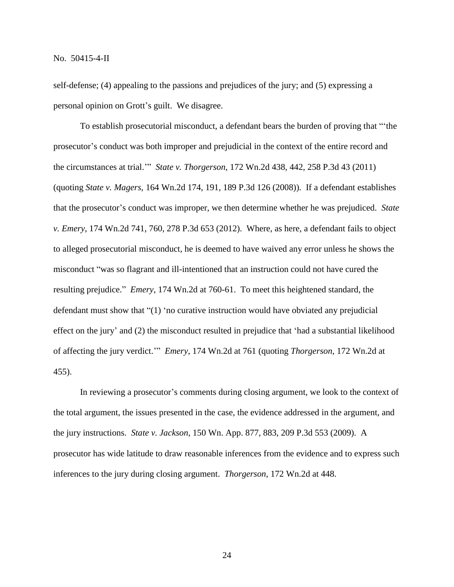self-defense; (4) appealing to the passions and prejudices of the jury; and (5) expressing a personal opinion on Grott's guilt. We disagree.

To establish prosecutorial misconduct, a defendant bears the burden of proving that "'the prosecutor's conduct was both improper and prejudicial in the context of the entire record and the circumstances at trial.'" *State v. Thorgerson*, 172 Wn.2d 438, 442, 258 P.3d 43 (2011) (quoting *State v. Magers*, 164 Wn.2d 174, 191, 189 P.3d 126 (2008)). If a defendant establishes that the prosecutor's conduct was improper, we then determine whether he was prejudiced. *State v. Emery*, 174 Wn.2d 741, 760, 278 P.3d 653 (2012). Where, as here, a defendant fails to object to alleged prosecutorial misconduct, he is deemed to have waived any error unless he shows the misconduct "was so flagrant and ill-intentioned that an instruction could not have cured the resulting prejudice." *Emery*, 174 Wn.2d at 760-61. To meet this heightened standard, the defendant must show that "(1) 'no curative instruction would have obviated any prejudicial effect on the jury' and (2) the misconduct resulted in prejudice that 'had a substantial likelihood of affecting the jury verdict.'" *Emery*, 174 Wn.2d at 761 (quoting *Thorgerson*, 172 Wn.2d at 455).

In reviewing a prosecutor's comments during closing argument, we look to the context of the total argument, the issues presented in the case, the evidence addressed in the argument, and the jury instructions. *State v. Jackson*, 150 Wn. App. 877, 883, 209 P.3d 553 (2009). A prosecutor has wide latitude to draw reasonable inferences from the evidence and to express such inferences to the jury during closing argument. *Thorgerson*, 172 Wn.2d at 448.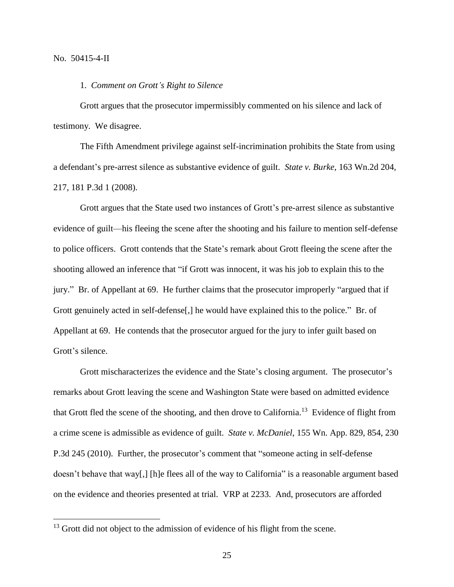$\overline{a}$ 

1. *Comment on Grott's Right to Silence*

Grott argues that the prosecutor impermissibly commented on his silence and lack of testimony. We disagree.

The Fifth Amendment privilege against self-incrimination prohibits the State from using a defendant's pre-arrest silence as substantive evidence of guilt. *State v. Burke*, 163 Wn.2d 204, 217, 181 P.3d 1 (2008).

Grott argues that the State used two instances of Grott's pre-arrest silence as substantive evidence of guilt—his fleeing the scene after the shooting and his failure to mention self-defense to police officers. Grott contends that the State's remark about Grott fleeing the scene after the shooting allowed an inference that "if Grott was innocent, it was his job to explain this to the jury." Br. of Appellant at 69. He further claims that the prosecutor improperly "argued that if Grott genuinely acted in self-defense[,] he would have explained this to the police." Br. of Appellant at 69. He contends that the prosecutor argued for the jury to infer guilt based on Grott's silence.

Grott mischaracterizes the evidence and the State's closing argument. The prosecutor's remarks about Grott leaving the scene and Washington State were based on admitted evidence that Grott fled the scene of the shooting, and then drove to California.<sup>13</sup> Evidence of flight from a crime scene is admissible as evidence of guilt. *State v. McDaniel*, 155 Wn. App. 829, 854, 230 P.3d 245 (2010). Further, the prosecutor's comment that "someone acting in self-defense doesn't behave that way[,] [h]e flees all of the way to California" is a reasonable argument based on the evidence and theories presented at trial. VRP at 2233. And, prosecutors are afforded

<sup>&</sup>lt;sup>13</sup> Grott did not object to the admission of evidence of his flight from the scene.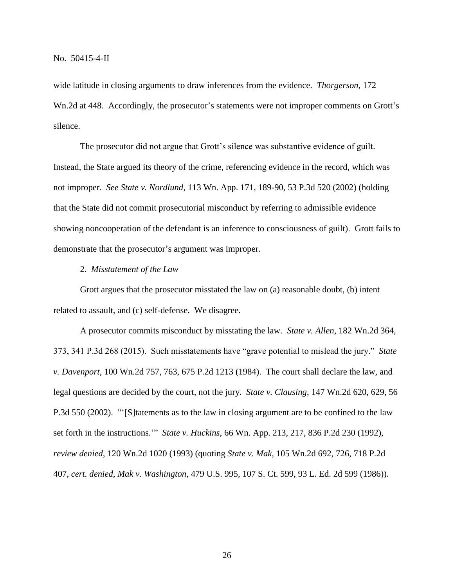wide latitude in closing arguments to draw inferences from the evidence. *Thorgerson*, 172 Wn.2d at 448. Accordingly, the prosecutor's statements were not improper comments on Grott's silence.

The prosecutor did not argue that Grott's silence was substantive evidence of guilt. Instead, the State argued its theory of the crime, referencing evidence in the record, which was not improper. *See State v. Nordlund*, 113 Wn. App. 171, 189-90, 53 P.3d 520 (2002) (holding that the State did not commit prosecutorial misconduct by referring to admissible evidence showing noncooperation of the defendant is an inference to consciousness of guilt). Grott fails to demonstrate that the prosecutor's argument was improper.

#### 2. *Misstatement of the Law*

Grott argues that the prosecutor misstated the law on (a) reasonable doubt, (b) intent related to assault, and (c) self-defense. We disagree.

A prosecutor commits misconduct by misstating the law. *State v. Allen*, 182 Wn.2d 364, 373, 341 P.3d 268 (2015). Such misstatements have "grave potential to mislead the jury." *State v. Davenport*, 100 Wn.2d 757, 763, 675 P.2d 1213 (1984). The court shall declare the law, and legal questions are decided by the court, not the jury. *State v. Clausing*, 147 Wn.2d 620, 629, 56 P.3d 550 (2002). "'[S]tatements as to the law in closing argument are to be confined to the law set forth in the instructions.'" *State v. Huckins*, 66 Wn. App. 213, 217, 836 P.2d 230 (1992), *review denied*, 120 Wn.2d 1020 (1993) (quoting *State v. Mak*, 105 Wn.2d 692, 726, 718 P.2d 407, *cert. denied*, *Mak v. Washington*, 479 U.S. 995, 107 S. Ct. 599, 93 L. Ed. 2d 599 (1986)).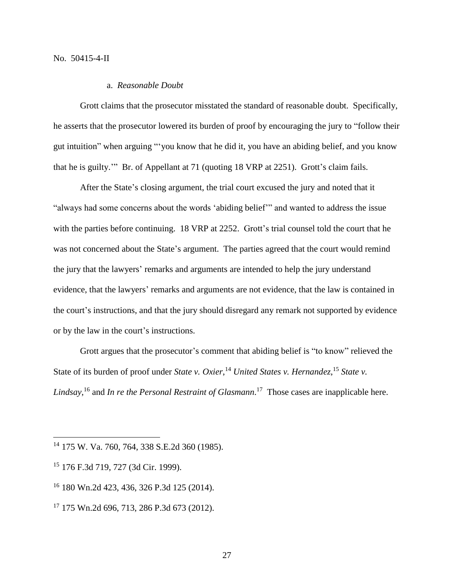## a. *Reasonable Doubt*

Grott claims that the prosecutor misstated the standard of reasonable doubt. Specifically, he asserts that the prosecutor lowered its burden of proof by encouraging the jury to "follow their gut intuition" when arguing "'you know that he did it, you have an abiding belief, and you know that he is guilty.'" Br. of Appellant at 71 (quoting 18 VRP at 2251). Grott's claim fails.

After the State's closing argument, the trial court excused the jury and noted that it "always had some concerns about the words 'abiding belief'" and wanted to address the issue with the parties before continuing. 18 VRP at 2252. Grott's trial counsel told the court that he was not concerned about the State's argument. The parties agreed that the court would remind the jury that the lawyers' remarks and arguments are intended to help the jury understand evidence, that the lawyers' remarks and arguments are not evidence, that the law is contained in the court's instructions, and that the jury should disregard any remark not supported by evidence or by the law in the court's instructions.

Grott argues that the prosecutor's comment that abiding belief is "to know" relieved the State of its burden of proof under *State v. Oxier*,<sup>14</sup> *United States v. Hernandez*,<sup>15</sup> *State v. Lindsay*, <sup>16</sup> and *In re the Personal Restraint of Glasmann*. 17 Those cases are inapplicable here.

 $\overline{a}$ 

<sup>14</sup> 175 W. Va. 760, 764, 338 S.E.2d 360 (1985).

<sup>15</sup> 176 F.3d 719, 727 (3d Cir. 1999).

<sup>16</sup> 180 Wn.2d 423, 436, 326 P.3d 125 (2014).

<sup>17</sup> 175 Wn.2d 696, 713, 286 P.3d 673 (2012).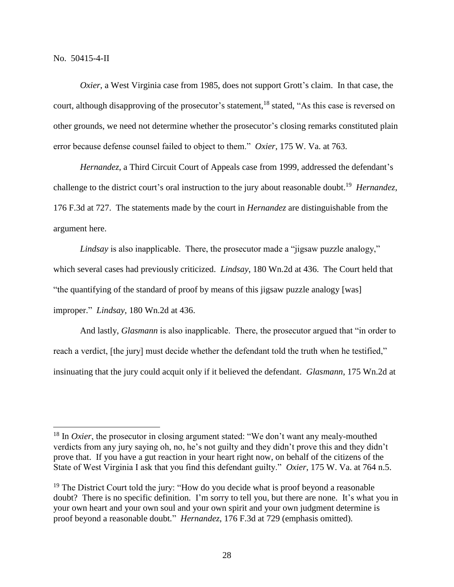$\overline{a}$ 

*Oxier*, a West Virginia case from 1985, does not support Grott's claim. In that case, the court, although disapproving of the prosecutor's statement,<sup>18</sup> stated, "As this case is reversed on other grounds, we need not determine whether the prosecutor's closing remarks constituted plain error because defense counsel failed to object to them." *Oxier*, 175 W. Va. at 763.

*Hernandez*, a Third Circuit Court of Appeals case from 1999, addressed the defendant's challenge to the district court's oral instruction to the jury about reasonable doubt.<sup>19</sup> Hernandez, 176 F.3d at 727. The statements made by the court in *Hernandez* are distinguishable from the argument here.

*Lindsay* is also inapplicable. There, the prosecutor made a "jigsaw puzzle analogy," which several cases had previously criticized. *Lindsay*, 180 Wn.2d at 436. The Court held that "the quantifying of the standard of proof by means of this jigsaw puzzle analogy [was] improper." *Lindsay*, 180 Wn.2d at 436.

And lastly, *Glasmann* is also inapplicable. There, the prosecutor argued that "in order to reach a verdict, [the jury] must decide whether the defendant told the truth when he testified," insinuating that the jury could acquit only if it believed the defendant. *Glasmann*, 175 Wn.2d at

<sup>&</sup>lt;sup>18</sup> In *Oxier*, the prosecutor in closing argument stated: "We don't want any mealy-mouthed verdicts from any jury saying oh, no, he's not guilty and they didn't prove this and they didn't prove that. If you have a gut reaction in your heart right now, on behalf of the citizens of the State of West Virginia I ask that you find this defendant guilty." *Oxier*, 175 W. Va. at 764 n.5.

<sup>&</sup>lt;sup>19</sup> The District Court told the jury: "How do you decide what is proof beyond a reasonable doubt? There is no specific definition. I'm sorry to tell you, but there are none. It's what you in your own heart and your own soul and your own spirit and your own judgment determine is proof beyond a reasonable doubt*.*" *Hernandez*, 176 F.3d at 729 (emphasis omitted).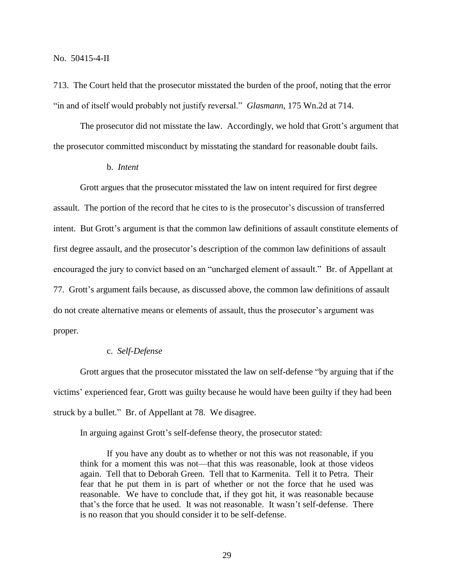713. The Court held that the prosecutor misstated the burden of the proof, noting that the error "in and of itself would probably not justify reversal." *Glasmann*, 175 Wn.2d at 714.

The prosecutor did not misstate the law. Accordingly, we hold that Grott's argument that the prosecutor committed misconduct by misstating the standard for reasonable doubt fails.

#### b. *Intent*

Grott argues that the prosecutor misstated the law on intent required for first degree assault. The portion of the record that he cites to is the prosecutor's discussion of transferred intent. But Grott's argument is that the common law definitions of assault constitute elements of first degree assault, and the prosecutor's description of the common law definitions of assault encouraged the jury to convict based on an "uncharged element of assault." Br. of Appellant at 77. Grott's argument fails because, as discussed above, the common law definitions of assault do not create alternative means or elements of assault, thus the prosecutor's argument was proper.

### c. *Self-Defense*

Grott argues that the prosecutor misstated the law on self-defense "by arguing that if the victims' experienced fear, Grott was guilty because he would have been guilty if they had been struck by a bullet." Br. of Appellant at 78. We disagree.

In arguing against Grott's self-defense theory, the prosecutor stated:

If you have any doubt as to whether or not this was not reasonable, if you think for a moment this was not—that this was reasonable, look at those videos again. Tell that to Deborah Green. Tell that to Karmenita. Tell it to Petra. Their fear that he put them in is part of whether or not the force that he used was reasonable. We have to conclude that, if they got hit, it was reasonable because that's the force that he used. It was not reasonable. It wasn't self-defense. There is no reason that you should consider it to be self-defense.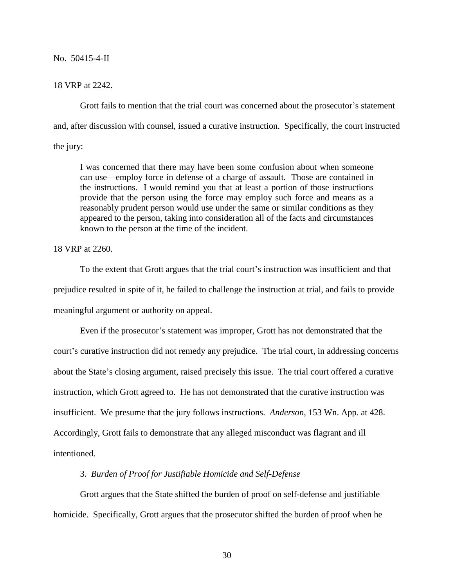#### 18 VRP at 2242.

Grott fails to mention that the trial court was concerned about the prosecutor's statement and, after discussion with counsel, issued a curative instruction. Specifically, the court instructed the jury:

I was concerned that there may have been some confusion about when someone can use—employ force in defense of a charge of assault. Those are contained in the instructions. I would remind you that at least a portion of those instructions provide that the person using the force may employ such force and means as a reasonably prudent person would use under the same or similar conditions as they appeared to the person, taking into consideration all of the facts and circumstances known to the person at the time of the incident.

#### 18 VRP at 2260.

To the extent that Grott argues that the trial court's instruction was insufficient and that prejudice resulted in spite of it, he failed to challenge the instruction at trial, and fails to provide meaningful argument or authority on appeal.

Even if the prosecutor's statement was improper, Grott has not demonstrated that the court's curative instruction did not remedy any prejudice. The trial court, in addressing concerns about the State's closing argument, raised precisely this issue. The trial court offered a curative instruction, which Grott agreed to. He has not demonstrated that the curative instruction was insufficient. We presume that the jury follows instructions. *Anderson*, 153 Wn. App. at 428. Accordingly, Grott fails to demonstrate that any alleged misconduct was flagrant and ill intentioned.

## 3. *Burden of Proof for Justifiable Homicide and Self-Defense*

Grott argues that the State shifted the burden of proof on self-defense and justifiable homicide. Specifically, Grott argues that the prosecutor shifted the burden of proof when he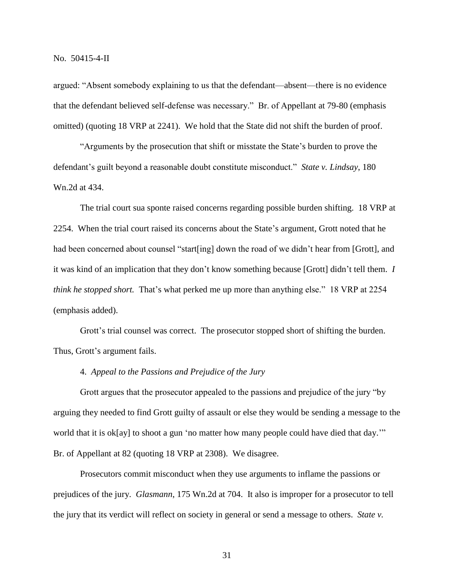argued: "Absent somebody explaining to us that the defendant—absent—there is no evidence that the defendant believed self-defense was necessary." Br. of Appellant at 79-80 (emphasis omitted) (quoting 18 VRP at 2241). We hold that the State did not shift the burden of proof.

"Arguments by the prosecution that shift or misstate the State's burden to prove the defendant's guilt beyond a reasonable doubt constitute misconduct." *State v. Lindsay*, 180 Wn.2d at 434.

The trial court sua sponte raised concerns regarding possible burden shifting. 18 VRP at 2254. When the trial court raised its concerns about the State's argument, Grott noted that he had been concerned about counsel "start[ing] down the road of we didn't hear from [Grott], and it was kind of an implication that they don't know something because [Grott] didn't tell them. *I think he stopped short.* That's what perked me up more than anything else." 18 VRP at 2254 (emphasis added).

Grott's trial counsel was correct. The prosecutor stopped short of shifting the burden. Thus, Grott's argument fails.

## 4. *Appeal to the Passions and Prejudice of the Jury*

Grott argues that the prosecutor appealed to the passions and prejudice of the jury "by arguing they needed to find Grott guilty of assault or else they would be sending a message to the world that it is ok[ay] to shoot a gun 'no matter how many people could have died that day." Br. of Appellant at 82 (quoting 18 VRP at 2308). We disagree.

Prosecutors commit misconduct when they use arguments to inflame the passions or prejudices of the jury. *Glasmann*, 175 Wn.2d at 704. It also is improper for a prosecutor to tell the jury that its verdict will reflect on society in general or send a message to others. *State v.*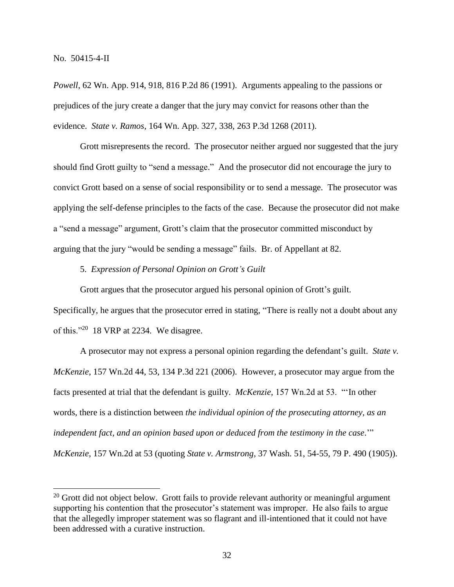*Powell*, 62 Wn. App. 914, 918, 816 P.2d 86 (1991). Arguments appealing to the passions or prejudices of the jury create a danger that the jury may convict for reasons other than the evidence. *State v. Ramos*, 164 Wn. App. 327, 338, 263 P.3d 1268 (2011).

Grott misrepresents the record. The prosecutor neither argued nor suggested that the jury should find Grott guilty to "send a message." And the prosecutor did not encourage the jury to convict Grott based on a sense of social responsibility or to send a message. The prosecutor was applying the self-defense principles to the facts of the case. Because the prosecutor did not make a "send a message" argument, Grott's claim that the prosecutor committed misconduct by arguing that the jury "would be sending a message" fails. Br. of Appellant at 82.

5. *Expression of Personal Opinion on Grott's Guilt*

Grott argues that the prosecutor argued his personal opinion of Grott's guilt. Specifically, he argues that the prosecutor erred in stating, "There is really not a doubt about any

of this."<sup>20</sup> 18 VRP at 2234. We disagree.

 $\overline{a}$ 

A prosecutor may not express a personal opinion regarding the defendant's guilt. *State v. McKenzie*, 157 Wn.2d 44, 53, 134 P.3d 221 (2006). However, a prosecutor may argue from the facts presented at trial that the defendant is guilty. *McKenzie*, 157 Wn.2d at 53. "'In other words, there is a distinction between *the individual opinion of the prosecuting attorney, as an independent fact, and an opinion based upon or deduced from the testimony in the case*.'" *McKenzie*, 157 Wn.2d at 53 (quoting *State v. Armstrong*, 37 Wash. 51, 54-55, 79 P. 490 (1905)).

 $20$  Grott did not object below. Grott fails to provide relevant authority or meaningful argument supporting his contention that the prosecutor's statement was improper. He also fails to argue that the allegedly improper statement was so flagrant and ill-intentioned that it could not have been addressed with a curative instruction.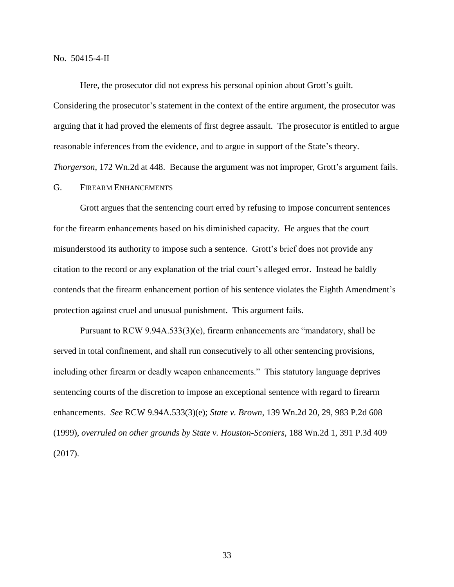Here, the prosecutor did not express his personal opinion about Grott's guilt.

Considering the prosecutor's statement in the context of the entire argument, the prosecutor was arguing that it had proved the elements of first degree assault. The prosecutor is entitled to argue reasonable inferences from the evidence, and to argue in support of the State's theory. *Thorgerson*, 172 Wn.2d at 448. Because the argument was not improper, Grott's argument fails.

G. FIREARM ENHANCEMENTS

Grott argues that the sentencing court erred by refusing to impose concurrent sentences for the firearm enhancements based on his diminished capacity. He argues that the court misunderstood its authority to impose such a sentence. Grott's brief does not provide any citation to the record or any explanation of the trial court's alleged error. Instead he baldly contends that the firearm enhancement portion of his sentence violates the Eighth Amendment's protection against cruel and unusual punishment. This argument fails.

Pursuant to RCW 9.94A.533(3)(e), firearm enhancements are "mandatory, shall be served in total confinement, and shall run consecutively to all other sentencing provisions, including other firearm or deadly weapon enhancements." This statutory language deprives sentencing courts of the discretion to impose an exceptional sentence with regard to firearm enhancements. *See* RCW 9.94A.533(3)(e); *State v. Brown*, 139 Wn.2d 20, 29, 983 P.2d 608 (1999), *overruled on other grounds by State v. Houston-Sconiers*, 188 Wn.2d 1, 391 P.3d 409 (2017).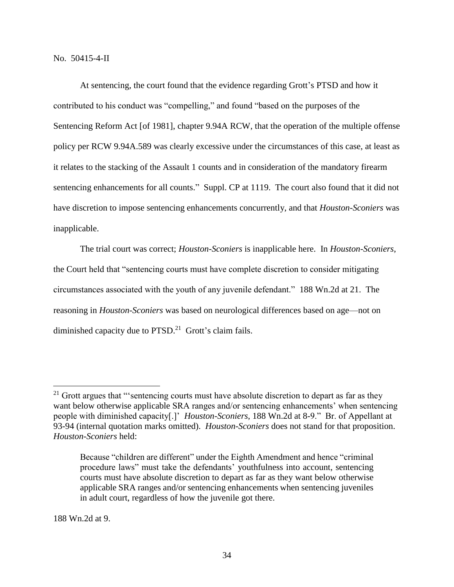At sentencing, the court found that the evidence regarding Grott's PTSD and how it contributed to his conduct was "compelling," and found "based on the purposes of the Sentencing Reform Act [of 1981], chapter 9.94A RCW, that the operation of the multiple offense policy per RCW 9.94A.589 was clearly excessive under the circumstances of this case, at least as it relates to the stacking of the Assault 1 counts and in consideration of the mandatory firearm sentencing enhancements for all counts." Suppl. CP at 1119. The court also found that it did not have discretion to impose sentencing enhancements concurrently, and that *Houston-Sconiers* was inapplicable.

The trial court was correct; *Houston-Sconiers* is inapplicable here. In *Houston-Sconiers*, the Court held that "sentencing courts must have complete discretion to consider mitigating circumstances associated with the youth of any juvenile defendant." 188 Wn.2d at 21. The reasoning in *Houston-Sconiers* was based on neurological differences based on age—not on diminished capacity due to PTSD.<sup>21</sup> Grott's claim fails.

188 Wn.2d at 9.

 $\overline{a}$ 

 $21$  Grott argues that "'sentencing courts must have absolute discretion to depart as far as they want below otherwise applicable SRA ranges and/or sentencing enhancements' when sentencing people with diminished capacity[.]' *Houston-Sconiers*, 188 Wn.2d at 8-9." Br. of Appellant at 93-94 (internal quotation marks omitted). *Houston-Sconiers* does not stand for that proposition. *Houston-Sconiers* held:

Because "children are different" under the Eighth Amendment and hence "criminal procedure laws" must take the defendants' youthfulness into account, sentencing courts must have absolute discretion to depart as far as they want below otherwise applicable SRA ranges and/or sentencing enhancements when sentencing juveniles in adult court, regardless of how the juvenile got there.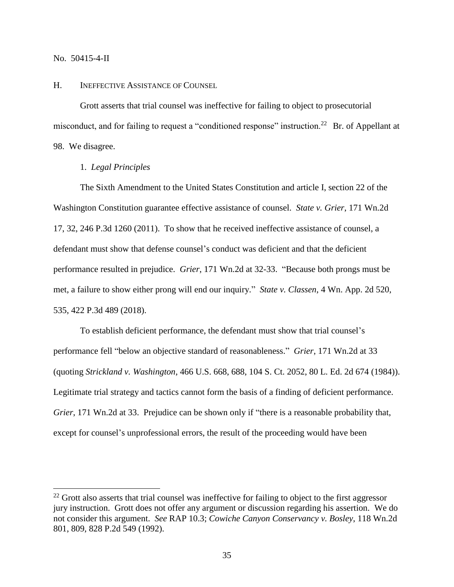$\overline{a}$ 

#### H. INEFFECTIVE ASSISTANCE OF COUNSEL

Grott asserts that trial counsel was ineffective for failing to object to prosecutorial misconduct, and for failing to request a "conditioned response" instruction.<sup>22</sup> Br. of Appellant at 98. We disagree.

# 1. *Legal Principles*

The Sixth Amendment to the United States Constitution and article I, section 22 of the Washington Constitution guarantee effective assistance of counsel. *State v. Grier*, 171 Wn.2d 17, 32, 246 P.3d 1260 (2011). To show that he received ineffective assistance of counsel, a defendant must show that defense counsel's conduct was deficient and that the deficient performance resulted in prejudice. *Grier*, 171 Wn.2d at 32-33. "Because both prongs must be met, a failure to show either prong will end our inquiry." *State v. Classen*, 4 Wn. App. 2d 520, 535, 422 P.3d 489 (2018).

To establish deficient performance, the defendant must show that trial counsel's performance fell "below an objective standard of reasonableness." *Grier*, 171 Wn.2d at 33 (quoting *Strickland v. Washington*, 466 U.S. 668, 688, 104 S. Ct. 2052, 80 L. Ed. 2d 674 (1984)). Legitimate trial strategy and tactics cannot form the basis of a finding of deficient performance. *Grier*, 171 Wn.2d at 33. Prejudice can be shown only if "there is a reasonable probability that, except for counsel's unprofessional errors, the result of the proceeding would have been

 $22$  Grott also asserts that trial counsel was ineffective for failing to object to the first aggressor jury instruction. Grott does not offer any argument or discussion regarding his assertion. We do not consider this argument. *See* RAP 10.3; *Cowiche Canyon Conservancy v. Bosley*, 118 Wn.2d 801, 809, 828 P.2d 549 (1992).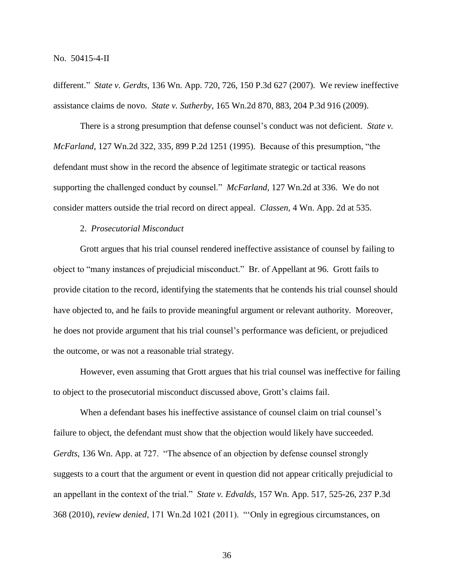different." *State v. Gerdts*, 136 Wn. App. 720, 726, 150 P.3d 627 (2007). We review ineffective assistance claims de novo. *State v. Sutherby*, 165 Wn.2d 870, 883, 204 P.3d 916 (2009).

There is a strong presumption that defense counsel's conduct was not deficient. *State v. McFarland*, 127 Wn.2d 322, 335, 899 P.2d 1251 (1995). Because of this presumption, "the defendant must show in the record the absence of legitimate strategic or tactical reasons supporting the challenged conduct by counsel." *McFarland*, 127 Wn.2d at 336. We do not consider matters outside the trial record on direct appeal. *Classen*, 4 Wn. App. 2d at 535.

## 2. *Prosecutorial Misconduct*

Grott argues that his trial counsel rendered ineffective assistance of counsel by failing to object to "many instances of prejudicial misconduct." Br. of Appellant at 96. Grott fails to provide citation to the record, identifying the statements that he contends his trial counsel should have objected to, and he fails to provide meaningful argument or relevant authority. Moreover, he does not provide argument that his trial counsel's performance was deficient, or prejudiced the outcome, or was not a reasonable trial strategy.

However, even assuming that Grott argues that his trial counsel was ineffective for failing to object to the prosecutorial misconduct discussed above, Grott's claims fail.

When a defendant bases his ineffective assistance of counsel claim on trial counsel's failure to object, the defendant must show that the objection would likely have succeeded. *Gerdts*, 136 Wn. App. at 727. "The absence of an objection by defense counsel strongly suggests to a court that the argument or event in question did not appear critically prejudicial to an appellant in the context of the trial." *State v. Edvalds*, 157 Wn. App. 517, 525-26, 237 P.3d 368 (2010), *review denied*, 171 Wn.2d 1021 (2011). "'Only in egregious circumstances, on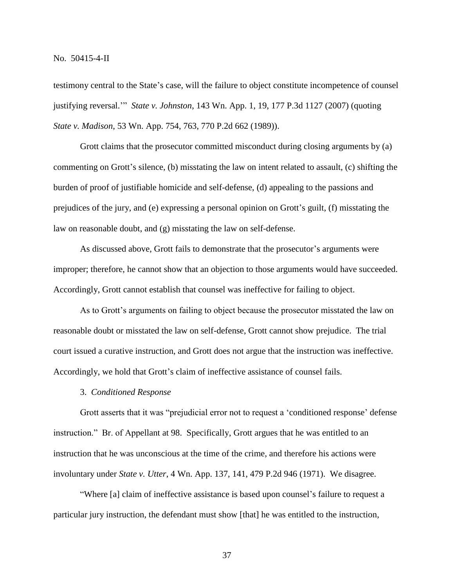testimony central to the State's case, will the failure to object constitute incompetence of counsel justifying reversal.'" *State v. Johnston*, 143 Wn. App. 1, 19, 177 P.3d 1127 (2007) (quoting *State v. Madison*, 53 Wn. App. 754, 763, 770 P.2d 662 (1989)).

Grott claims that the prosecutor committed misconduct during closing arguments by (a) commenting on Grott's silence, (b) misstating the law on intent related to assault, (c) shifting the burden of proof of justifiable homicide and self-defense, (d) appealing to the passions and prejudices of the jury, and (e) expressing a personal opinion on Grott's guilt, (f) misstating the law on reasonable doubt, and (g) misstating the law on self-defense.

As discussed above, Grott fails to demonstrate that the prosecutor's arguments were improper; therefore, he cannot show that an objection to those arguments would have succeeded. Accordingly, Grott cannot establish that counsel was ineffective for failing to object.

As to Grott's arguments on failing to object because the prosecutor misstated the law on reasonable doubt or misstated the law on self-defense, Grott cannot show prejudice. The trial court issued a curative instruction, and Grott does not argue that the instruction was ineffective. Accordingly, we hold that Grott's claim of ineffective assistance of counsel fails.

## 3. *Conditioned Response*

Grott asserts that it was "prejudicial error not to request a 'conditioned response' defense instruction." Br. of Appellant at 98. Specifically, Grott argues that he was entitled to an instruction that he was unconscious at the time of the crime, and therefore his actions were involuntary under *State v. Utter*, 4 Wn. App. 137, 141, 479 P.2d 946 (1971). We disagree.

"Where [a] claim of ineffective assistance is based upon counsel's failure to request a particular jury instruction, the defendant must show [that] he was entitled to the instruction,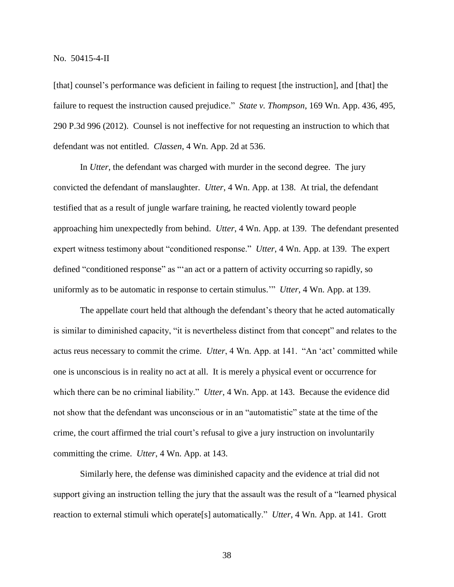[that] counsel's performance was deficient in failing to request [the instruction], and [that] the failure to request the instruction caused prejudice." *State v. Thompson*, 169 Wn. App. 436, 495, 290 P.3d 996 (2012). Counsel is not ineffective for not requesting an instruction to which that defendant was not entitled. *Classen*, 4 Wn. App. 2d at 536.

In *Utter*, the defendant was charged with murder in the second degree. The jury convicted the defendant of manslaughter. *Utter*, 4 Wn. App. at 138. At trial, the defendant testified that as a result of jungle warfare training, he reacted violently toward people approaching him unexpectedly from behind. *Utter*, 4 Wn. App. at 139. The defendant presented expert witness testimony about "conditioned response." *Utter*, 4 Wn. App. at 139. The expert defined "conditioned response" as "'an act or a pattern of activity occurring so rapidly, so uniformly as to be automatic in response to certain stimulus.'" *Utter*, 4 Wn. App. at 139.

The appellate court held that although the defendant's theory that he acted automatically is similar to diminished capacity, "it is nevertheless distinct from that concept" and relates to the actus reus necessary to commit the crime. *Utter*, 4 Wn. App. at 141. "An 'act' committed while one is unconscious is in reality no act at all. It is merely a physical event or occurrence for which there can be no criminal liability." *Utter*, 4 Wn. App. at 143. Because the evidence did not show that the defendant was unconscious or in an "automatistic" state at the time of the crime, the court affirmed the trial court's refusal to give a jury instruction on involuntarily committing the crime. *Utter*, 4 Wn. App. at 143.

Similarly here, the defense was diminished capacity and the evidence at trial did not support giving an instruction telling the jury that the assault was the result of a "learned physical reaction to external stimuli which operate[s] automatically." *Utter*, 4 Wn. App. at 141. Grott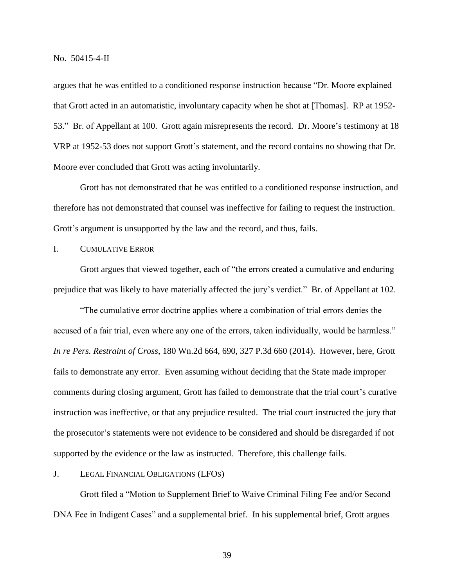argues that he was entitled to a conditioned response instruction because "Dr. Moore explained that Grott acted in an automatistic, involuntary capacity when he shot at [Thomas]. RP at 1952- 53." Br. of Appellant at 100. Grott again misrepresents the record. Dr. Moore's testimony at 18 VRP at 1952-53 does not support Grott's statement, and the record contains no showing that Dr. Moore ever concluded that Grott was acting involuntarily.

Grott has not demonstrated that he was entitled to a conditioned response instruction, and therefore has not demonstrated that counsel was ineffective for failing to request the instruction. Grott's argument is unsupported by the law and the record, and thus, fails.

I. CUMULATIVE ERROR

Grott argues that viewed together, each of "the errors created a cumulative and enduring prejudice that was likely to have materially affected the jury's verdict." Br. of Appellant at 102.

"The cumulative error doctrine applies where a combination of trial errors denies the accused of a fair trial, even where any one of the errors, taken individually, would be harmless." *In re Pers. Restraint of Cross*, 180 Wn.2d 664, 690, 327 P.3d 660 (2014). However, here, Grott fails to demonstrate any error. Even assuming without deciding that the State made improper comments during closing argument, Grott has failed to demonstrate that the trial court's curative instruction was ineffective, or that any prejudice resulted. The trial court instructed the jury that the prosecutor's statements were not evidence to be considered and should be disregarded if not supported by the evidence or the law as instructed. Therefore, this challenge fails.

J. LEGAL FINANCIAL OBLIGATIONS (LFOS)

Grott filed a "Motion to Supplement Brief to Waive Criminal Filing Fee and/or Second DNA Fee in Indigent Cases" and a supplemental brief. In his supplemental brief, Grott argues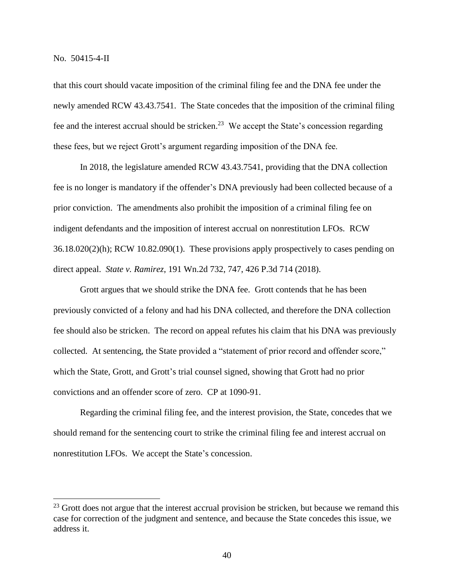$\overline{a}$ 

that this court should vacate imposition of the criminal filing fee and the DNA fee under the newly amended RCW 43.43.7541. The State concedes that the imposition of the criminal filing fee and the interest accrual should be stricken.<sup>23</sup> We accept the State's concession regarding these fees, but we reject Grott's argument regarding imposition of the DNA fee.

In 2018, the legislature amended RCW 43.43.7541, providing that the DNA collection fee is no longer is mandatory if the offender's DNA previously had been collected because of a prior conviction. The amendments also prohibit the imposition of a criminal filing fee on indigent defendants and the imposition of interest accrual on nonrestitution LFOs. RCW  $36.18.020(2)(h)$ ; RCW  $10.82.090(1)$ . These provisions apply prospectively to cases pending on direct appeal. *State v. Ramirez*, 191 Wn.2d 732, 747, 426 P.3d 714 (2018).

Grott argues that we should strike the DNA fee. Grott contends that he has been previously convicted of a felony and had his DNA collected, and therefore the DNA collection fee should also be stricken. The record on appeal refutes his claim that his DNA was previously collected. At sentencing, the State provided a "statement of prior record and offender score," which the State, Grott, and Grott's trial counsel signed, showing that Grott had no prior convictions and an offender score of zero. CP at 1090-91.

Regarding the criminal filing fee, and the interest provision, the State, concedes that we should remand for the sentencing court to strike the criminal filing fee and interest accrual on nonrestitution LFOs. We accept the State's concession.

 $^{23}$  Grott does not argue that the interest accrual provision be stricken, but because we remand this case for correction of the judgment and sentence, and because the State concedes this issue, we address it.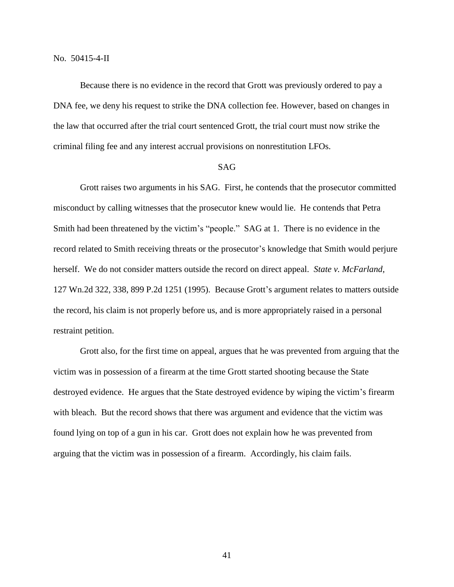Because there is no evidence in the record that Grott was previously ordered to pay a DNA fee, we deny his request to strike the DNA collection fee. However, based on changes in the law that occurred after the trial court sentenced Grott, the trial court must now strike the criminal filing fee and any interest accrual provisions on nonrestitution LFOs.

## SAG

Grott raises two arguments in his SAG. First, he contends that the prosecutor committed misconduct by calling witnesses that the prosecutor knew would lie. He contends that Petra Smith had been threatened by the victim's "people." SAG at 1. There is no evidence in the record related to Smith receiving threats or the prosecutor's knowledge that Smith would perjure herself. We do not consider matters outside the record on direct appeal. *State v. McFarland*, 127 Wn.2d 322, 338, 899 P.2d 1251 (1995). Because Grott's argument relates to matters outside the record, his claim is not properly before us, and is more appropriately raised in a personal restraint petition.

Grott also, for the first time on appeal, argues that he was prevented from arguing that the victim was in possession of a firearm at the time Grott started shooting because the State destroyed evidence. He argues that the State destroyed evidence by wiping the victim's firearm with bleach. But the record shows that there was argument and evidence that the victim was found lying on top of a gun in his car. Grott does not explain how he was prevented from arguing that the victim was in possession of a firearm. Accordingly, his claim fails.